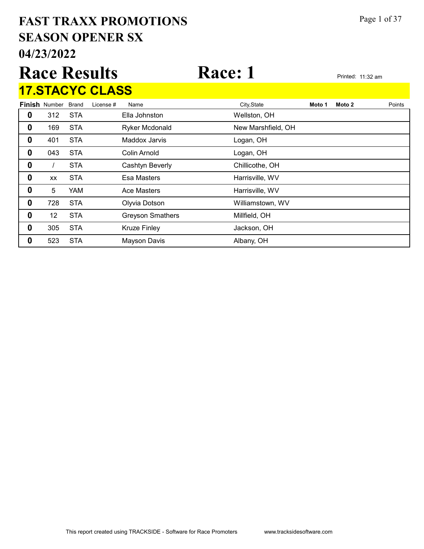# 04/23/2022 SEASON OPENER SX FAST TRAXX PROMOTIONS Page 1 of 37

|   | <b>Race Results</b>        |            |                        |                       | Race: 1            |        | Printed: 11:32 am |        |
|---|----------------------------|------------|------------------------|-----------------------|--------------------|--------|-------------------|--------|
|   |                            |            | <b>17.STACYC CLASS</b> |                       |                    |        |                   |        |
|   | <b>Finish Number Brand</b> |            | License #              | Name                  | City, State        | Moto 1 | Moto 2            | Points |
| 0 | 312                        | <b>STA</b> |                        | Ella Johnston         | Wellston, OH       |        |                   |        |
| 0 | 169                        | <b>STA</b> |                        | <b>Ryker Mcdonald</b> | New Marshfield, OH |        |                   |        |
| 0 | 401                        | <b>STA</b> |                        | <b>Maddox Jarvis</b>  | Logan, OH          |        |                   |        |
|   | 043                        | <b>STA</b> |                        | Colin Arnold          | Logan, OH          |        |                   |        |

0 / STA Cashtyn Beverly Chillicothe, OH xx STA Esa Masters **Example 3 Accord Essa Masters** Esample 20 Harrisville, WV 5 YAM Ace Masters **Example 3 Harrisville, WV** 728 STA Olyvia Dotson Williamstown, WV

**0** 12 STA Greyson Smathers Millfield, OH **0** 305 STA Kruze Finley **CONFING STA** Ackson, OH **0** 523 STA Mayson Davis **Albany**, OH

This report created using TRACKSIDE - Software for Race Promoters www.tracksidesoftware.com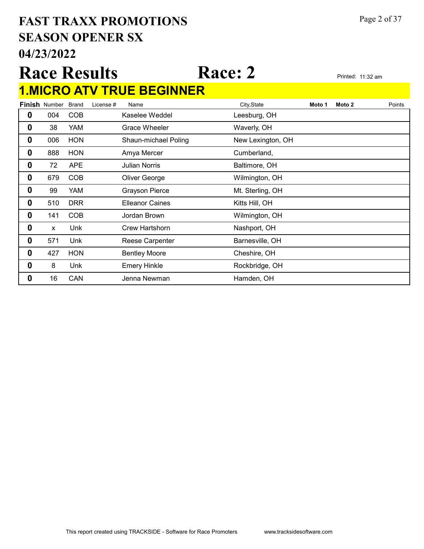# 04/23/2022 SEASON OPENER SX FAST TRAXX PROMOTIONS Page 2 of 37

# Race Results Race: 2 Printed: 11:32 am 1.MICRO ATV TRUE BEGINNER

|                  | <b>Finish Number</b> | <b>Brand</b> | License # | Name                   | City, State       | Moto 1 | Moto 2 | Points |
|------------------|----------------------|--------------|-----------|------------------------|-------------------|--------|--------|--------|
| $\mathbf 0$      | 004                  | <b>COB</b>   |           | Kaselee Weddel         | Leesburg, OH      |        |        |        |
| $\boldsymbol{0}$ | 38                   | YAM          |           | <b>Grace Wheeler</b>   | Waverly, OH       |        |        |        |
| 0                | 006                  | <b>HON</b>   |           | Shaun-michael Poling   | New Lexington, OH |        |        |        |
| $\boldsymbol{0}$ | 888                  | <b>HON</b>   |           | Amya Mercer            | Cumberland,       |        |        |        |
| $\boldsymbol{0}$ | 72                   | <b>APE</b>   |           | <b>Julian Norris</b>   | Baltimore, OH     |        |        |        |
| 0                | 679                  | <b>COB</b>   |           | Oliver George          | Wilmington, OH    |        |        |        |
| $\boldsymbol{0}$ | 99                   | <b>YAM</b>   |           | <b>Grayson Pierce</b>  | Mt. Sterling, OH  |        |        |        |
| 0                | 510                  | <b>DRR</b>   |           | <b>Elleanor Caines</b> | Kitts Hill, OH    |        |        |        |
| 0                | 141                  | <b>COB</b>   |           | Jordan Brown           | Wilmington, OH    |        |        |        |
| $\boldsymbol{0}$ | X                    | Unk          |           | Crew Hartshorn         | Nashport, OH      |        |        |        |
| $\bf{0}$         | 571                  | Unk          |           | <b>Reese Carpenter</b> | Barnesville, OH   |        |        |        |
| 0                | 427                  | <b>HON</b>   |           | <b>Bentley Moore</b>   | Cheshire, OH      |        |        |        |
| $\bf{0}$         | 8                    | Unk          |           | <b>Emery Hinkle</b>    | Rockbridge, OH    |        |        |        |
| 0                | 16                   | CAN          |           | Jenna Newman           | Hamden, OH        |        |        |        |
|                  |                      |              |           |                        |                   |        |        |        |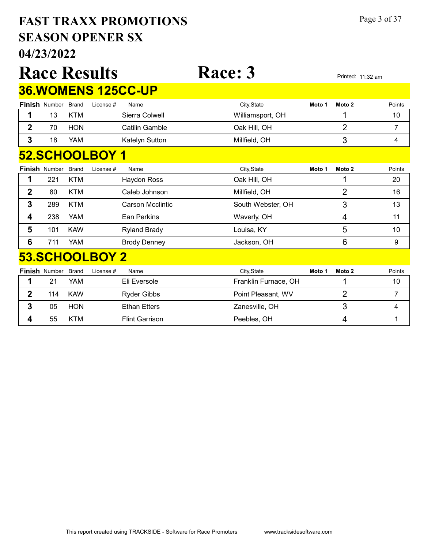# 04/23/2022 SEASON OPENER SX FAST TRAXX PROMOTIONS Page 3 of 37

|                |                      |              | <b>Race Results</b> |                            | <b>Race: 3</b>       |        |                | Printed: 11:32 am |
|----------------|----------------------|--------------|---------------------|----------------------------|----------------------|--------|----------------|-------------------|
|                |                      |              |                     | <b>36. WOMENS 125CC-UP</b> |                      |        |                |                   |
|                | <b>Finish Number</b> | <b>Brand</b> | License #           | Name                       | City, State          | Moto 1 | Moto 2         | Points            |
|                | 13                   | <b>KTM</b>   |                     | Sierra Colwell             | Williamsport, OH     |        | 1              | 10                |
| $\overline{2}$ | 70                   | <b>HON</b>   |                     | Catilin Gamble             | Oak Hill, OH         |        | $\overline{2}$ | 7                 |
| 3              | 18                   | YAM          |                     | Katelyn Sutton             | Millfield, OH        |        | 3              | 4                 |
|                |                      |              | 52.SCHOOLBOY 1      |                            |                      |        |                |                   |
|                | <b>Finish Number</b> | <b>Brand</b> | License #           | Name                       | City, State          | Moto 1 | Moto 2         | Points            |
| 1              | 221                  | <b>KTM</b>   |                     | <b>Haydon Ross</b>         | Oak Hill, OH         |        | 1              | 20                |
| $\mathbf 2$    | 80                   | <b>KTM</b>   |                     | Caleb Johnson              | Millfield, OH        |        | $\overline{2}$ | 16                |
| 3              | 289                  | <b>KTM</b>   |                     | Carson Mcclintic           | South Webster, OH    |        | 3              | 13                |
| 4              | 238                  | <b>YAM</b>   |                     | Ean Perkins                | Waverly, OH          |        | 4              | 11                |
| 5              | 101                  | <b>KAW</b>   |                     | <b>Ryland Brady</b>        | Louisa, KY           |        | 5              | 10                |
| 6              | 711                  | YAM          |                     | <b>Brody Denney</b>        | Jackson, OH          |        | 6              | 9                 |
|                |                      |              | 53.SCHOOLBOY 2      |                            |                      |        |                |                   |
|                | <b>Finish Number</b> | <b>Brand</b> | License #           | Name                       | City, State          | Moto 1 | Moto 2         | Points            |
| 1              | 21                   | YAM          |                     | Eli Eversole               | Franklin Furnace, OH |        | 1              | 10                |
| $\mathbf{2}$   | 114                  | <b>KAW</b>   |                     | <b>Ryder Gibbs</b>         | Point Pleasant, WV   |        | $\overline{2}$ | 7                 |
| 3              | 05                   | <b>HON</b>   |                     | <b>Ethan Etters</b>        | Zanesville, OH       |        | 3              | 4                 |

**4** 55 KTM Flint Garrison **Peebles, OH** 1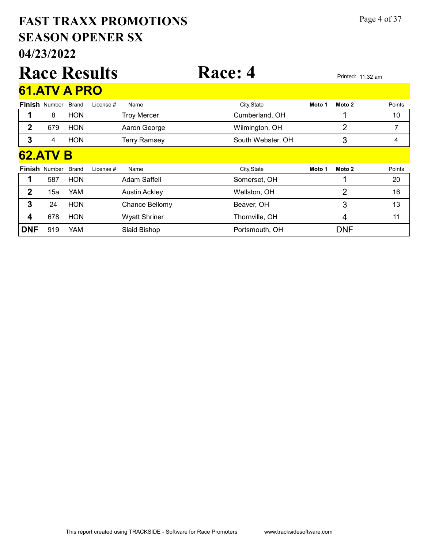# 04/23/2022 SEASON OPENER SX FAST TRAXX PROMOTIONS Page 4 of 37

|              |                      |              | <b>Race Results</b> |                      | <b>Race: 4</b>    |        |                | Printed: 11:32 am |        |
|--------------|----------------------|--------------|---------------------|----------------------|-------------------|--------|----------------|-------------------|--------|
|              | 61.ATV A PRO         |              |                     |                      |                   |        |                |                   |        |
|              | <b>Finish Number</b> | <b>Brand</b> | License #           | Name                 | City, State       | Moto 1 | Moto 2         |                   | Points |
| 1            | 8                    | <b>HON</b>   |                     | <b>Troy Mercer</b>   | Cumberland, OH    |        |                |                   | 10     |
| $\mathbf{2}$ | 679                  | <b>HON</b>   |                     | Aaron George         | Wilmington, OH    |        | 2              |                   | 7      |
| 3            | 4                    | <b>HON</b>   |                     | <b>Terry Ramsey</b>  | South Webster, OH |        | 3              |                   | 4      |
|              | <b>62.ATV B</b>      |              |                     |                      |                   |        |                |                   |        |
|              | <b>Finish Number</b> | <b>Brand</b> | License #           | Name                 | City, State       | Moto 1 | Moto 2         |                   | Points |
| 1            | 587                  | <b>HON</b>   |                     | Adam Saffell         | Somerset, OH      |        | 1              |                   | 20     |
| $\mathbf{2}$ | 15a                  | YAM          |                     | <b>Austin Ackley</b> | Wellston, OH      |        | $\overline{2}$ |                   | 16     |
| 3            | 24                   | <b>HON</b>   |                     | Chance Bellomy       | Beaver, OH        |        | 3              |                   | 13     |
| 4            | 678                  | <b>HON</b>   |                     | <b>Wyatt Shriner</b> | Thornville, OH    |        | 4              |                   | 11     |
| <b>DNF</b>   | 919                  | YAM          |                     | Slaid Bishop         | Portsmouth, OH    |        | <b>DNF</b>     |                   |        |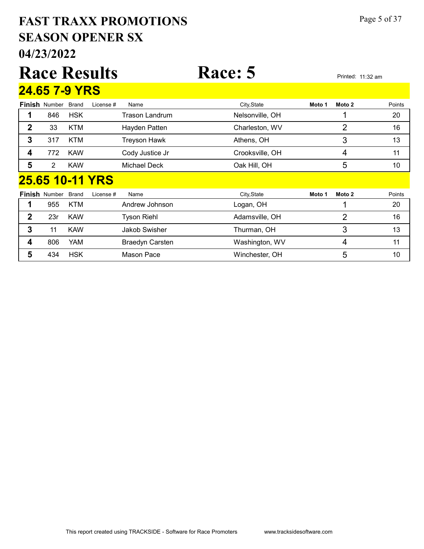# 04/23/2022 SEASON OPENER SX FAST TRAXX PROMOTIONS Page 5 of 37

|              |                      |              | <b>Race Results</b> |                    | Race: 5         |        |                | Printed: 11:32 am |
|--------------|----------------------|--------------|---------------------|--------------------|-----------------|--------|----------------|-------------------|
|              | <b>24.65 7-9 YRS</b> |              |                     |                    |                 |        |                |                   |
|              | <b>Finish Number</b> | Brand        | License #           | Name               | City, State     | Moto 1 | Moto 2         | Points            |
| 1            | 846                  | <b>HSK</b>   |                     | Trason Landrum     | Nelsonville, OH |        |                | 20                |
| $\mathbf{2}$ | 33                   | <b>KTM</b>   |                     | Hayden Patten      | Charleston, WV  |        | $\overline{2}$ | 16                |
| 3            | 317                  | <b>KTM</b>   |                     | Treyson Hawk       | Athens, OH      |        | 3              | 13                |
| 4            | 772                  | <b>KAW</b>   |                     | Cody Justice Jr    | Crooksville, OH |        | 4              | 11                |
| 5            | $\overline{2}$       | <b>KAW</b>   |                     | Michael Deck       | Oak Hill, OH    |        | 5              | 10                |
|              |                      |              | 25.65 10-11 YRS     |                    |                 |        |                |                   |
|              | <b>Finish Number</b> | <b>Brand</b> | License #           | Name               | City, State     | Moto 1 | Moto 2         | Points            |
| 1            | 955                  | <b>KTM</b>   |                     | Andrew Johnson     | Logan, OH       |        |                | 20                |
| $\mathbf{2}$ | 23r                  | <b>KAW</b>   |                     | <b>Tyson Riehl</b> | Adamsville, OH  |        | $\overline{2}$ | 16                |
| 3            | 11                   | <b>KAW</b>   |                     | Jakob Swisher      | Thurman, OH     |        | 3              | 13                |
| 4            | 806                  | YAM          |                     | Braedyn Carsten    | Washington, WV  |        | 4              | 11                |
| 5            | 434                  | <b>HSK</b>   |                     | Mason Pace         | Winchester, OH  |        | 5              | 10                |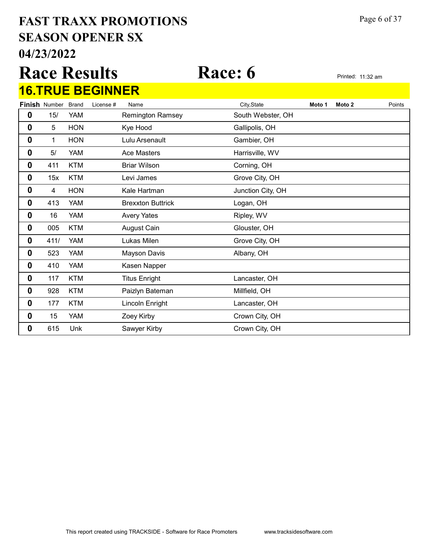# 04/23/2022 SEASON OPENER SX FAST TRAXX PROMOTIONS Page 6 of 37

Race Results Race: 6 Printed: 11:32 am 16.TRUE BEGINNER

|   | <b>Finish Number</b> | <b>Brand</b> | License # | Name                     | City, State       | Moto 1 | Moto 2 | Points |
|---|----------------------|--------------|-----------|--------------------------|-------------------|--------|--------|--------|
| 0 | 15/                  | <b>YAM</b>   |           | <b>Remington Ramsey</b>  | South Webster, OH |        |        |        |
| 0 | 5                    | <b>HON</b>   |           | Kye Hood                 | Gallipolis, OH    |        |        |        |
| 0 | 1                    | <b>HON</b>   |           | Lulu Arsenault           | Gambier, OH       |        |        |        |
| 0 | 5/                   | <b>YAM</b>   |           | <b>Ace Masters</b>       | Harrisville, WV   |        |        |        |
| 0 | 411                  | <b>KTM</b>   |           | <b>Briar Wilson</b>      | Corning, OH       |        |        |        |
| 0 | 15x                  | <b>KTM</b>   |           | Levi James               | Grove City, OH    |        |        |        |
| 0 | 4                    | <b>HON</b>   |           | Kale Hartman             | Junction City, OH |        |        |        |
| 0 | 413                  | <b>YAM</b>   |           | <b>Brexxton Buttrick</b> | Logan, OH         |        |        |        |
| 0 | 16                   | <b>YAM</b>   |           | <b>Avery Yates</b>       | Ripley, WV        |        |        |        |
| 0 | 005                  | <b>KTM</b>   |           | August Cain              | Glouster, OH      |        |        |        |
| 0 | 411/                 | <b>YAM</b>   |           | Lukas Milen              | Grove City, OH    |        |        |        |
| 0 | 523                  | <b>YAM</b>   |           | Mayson Davis             | Albany, OH        |        |        |        |
| 0 | 410                  | <b>YAM</b>   |           | Kasen Napper             |                   |        |        |        |
| 0 | 117                  | <b>KTM</b>   |           | <b>Titus Enright</b>     | Lancaster, OH     |        |        |        |
| 0 | 928                  | <b>KTM</b>   |           | Paizlyn Bateman          | Millfield, OH     |        |        |        |
| 0 | 177                  | <b>KTM</b>   |           | Lincoln Enright          | Lancaster, OH     |        |        |        |
| 0 | 15                   | <b>YAM</b>   |           | Zoey Kirby               | Crown City, OH    |        |        |        |
| 0 | 615                  | Unk          |           | Sawyer Kirby             | Crown City, OH    |        |        |        |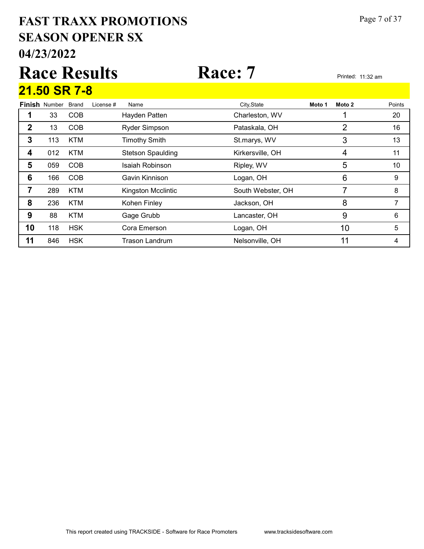# 04/23/2022 SEASON OPENER SX FAST TRAXX PROMOTIONS Page 7 of 37

# Race Results Race: 7 Printed: 11:32 am Finish Number Brand 21.50 SR 7-8 Brand License # Name City,State **Moto 1 Moto 2** Points 1 33 COB Hayden Patten Charleston, WV 1 1 20

|    | 13  | <b>COB</b> | <b>Ryder Simpson</b>     | Pataskala, OH     | ◠  | 16 |
|----|-----|------------|--------------------------|-------------------|----|----|
| 3  | 113 | <b>KTM</b> | <b>Timothy Smith</b>     | St.marys, WV      | 3  | 13 |
| 4  | 012 | <b>KTM</b> | <b>Stetson Spaulding</b> | Kirkersville, OH  | 4  | 11 |
| 5  | 059 | <b>COB</b> | Isaiah Robinson          | Ripley, WV        | 5  | 10 |
| 6  | 166 | <b>COB</b> | Gavin Kinnison           | Logan, OH         | 6  | 9  |
|    | 289 | <b>KTM</b> | Kingston Mcclintic       | South Webster, OH |    | 8  |
| 8  | 236 | <b>KTM</b> | Kohen Finley             | Jackson, OH       | 8  |    |
| 9  | 88  | <b>KTM</b> | Gage Grubb               | Lancaster, OH     | 9  | 6  |
| 10 | 118 | <b>HSK</b> | Cora Emerson             | Logan, OH         | 10 | 5  |
| 11 | 846 | <b>HSK</b> | <b>Trason Landrum</b>    | Nelsonville, OH   | 11 |    |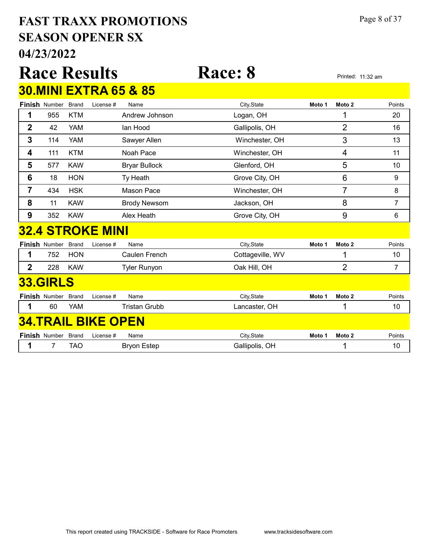# 04/23/2022 SEASON OPENER SX FAST TRAXX PROMOTIONS Page 8 of 37

|                |                      |              | <b>Race Results</b>                        |                                  | <b>Race: 8</b>        |        |                                     | Printed: 11:32 am  |
|----------------|----------------------|--------------|--------------------------------------------|----------------------------------|-----------------------|--------|-------------------------------------|--------------------|
|                |                      |              |                                            | <b>30.MINI EXTRA 65 &amp; 85</b> |                       |        |                                     |                    |
|                | Finish Number        | <b>Brand</b> | License #                                  | Name                             | City, State           | Moto 1 | Moto 2                              | Points             |
| 1              | 955                  | <b>KTM</b>   |                                            | Andrew Johnson                   | Logan, OH             |        | 1                                   | 20                 |
| 2              | 42                   | <b>YAM</b>   |                                            | lan Hood                         | Gallipolis, OH        |        | 2                                   | 16                 |
| 3              | 114                  | <b>YAM</b>   |                                            | Sawyer Allen                     | Winchester, OH        |        | 3                                   | 13                 |
| 4              | 111                  | <b>KTM</b>   |                                            | Noah Pace                        | Winchester, OH        |        | 4                                   | 11                 |
| 5              | 577                  | <b>KAW</b>   |                                            | <b>Bryar Bullock</b>             | Glenford, OH          |        | 5                                   | 10                 |
| 6              | 18                   | <b>HON</b>   |                                            | Ty Heath                         | Grove City, OH        |        | $6\phantom{1}6$                     | 9                  |
| $\overline{7}$ | 434                  | <b>HSK</b>   |                                            | <b>Mason Pace</b>                | Winchester, OH        |        | $\overline{7}$                      | 8                  |
| 8              | 11                   | <b>KAW</b>   |                                            | <b>Brody Newsom</b>              | Jackson, OH           |        | 8                                   | 7                  |
| 9              | 352                  | <b>KAW</b>   |                                            | Alex Heath                       | Grove City, OH        |        | 9                                   | 6                  |
|                |                      |              | <b>32.4 STROKE MINI</b>                    |                                  |                       |        |                                     |                    |
|                | <b>Finish Number</b> | <b>Brand</b> | License #                                  | Name                             | City, State           | Moto 1 | Moto 2                              | Points             |
| 1              | 752                  | <b>HON</b>   |                                            | Caulen French                    | Cottageville, WV      |        | 1                                   | 10                 |
| $\overline{2}$ | 228                  | <b>KAW</b>   |                                            | <b>Tyler Runyon</b>              | Oak Hill, OH          |        | $\overline{2}$                      | 7                  |
|                | <b>33.GIRLS</b>      |              |                                            |                                  |                       |        |                                     |                    |
|                | Finish Number        | <b>Brand</b> | License #                                  | Name                             | City, State           | Moto 1 | Moto 2                              | Points             |
| 1              | 60                   | <b>YAM</b>   |                                            | <b>Tristan Grubb</b>             | Lancaster, OH         |        | 1                                   | 10                 |
|                |                      |              | <b>34.TRAIL BIKE OPEN</b>                  |                                  |                       |        |                                     |                    |
|                |                      |              | $\n  Einiah\n  Number\n  Drawal\n  Linear$ |                                  | $Cth$ , $Cth$ , $Cth$ |        | $M \sim 4 \sim 4$ $M \sim 4 \sim 2$ | D <sub>right</sub> |

| <b>Finish Number Brand</b> |     | Name<br>License # | Citv.State     | Moto 1 | Moto 2 | Points |
|----------------------------|-----|-------------------|----------------|--------|--------|--------|
|                            | TAC | Bryon Estep       | Gallipolis, OH |        |        |        |
|                            |     |                   |                |        |        |        |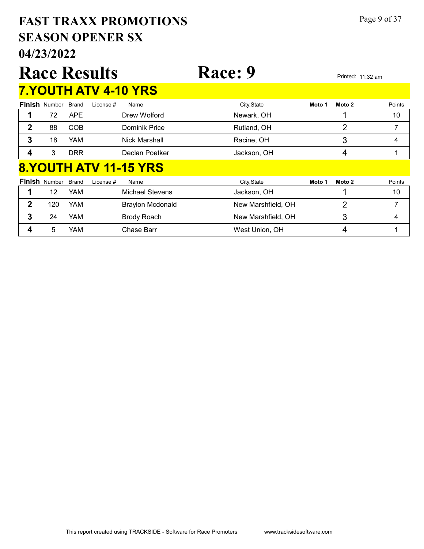# 04/23/2022 SEASON OPENER SX FAST TRAXX PROMOTIONS Page 9 of 37

|              |                            |            | <b>Race Results</b> |                             | Race: 9     |        |        | Printed: 11:32 am |
|--------------|----------------------------|------------|---------------------|-----------------------------|-------------|--------|--------|-------------------|
|              |                            |            |                     | <b>7.YOUTH ATV 4-10 YRS</b> |             |        |        |                   |
|              | <b>Finish</b> Number Brand |            | License #           | Name                        | City, State | Moto 1 | Moto 2 | Points            |
|              | 72                         | <b>APE</b> |                     | Drew Wolford                | Newark, OH  |        |        | 10                |
| $\mathbf{2}$ | 88                         | <b>COB</b> |                     | Dominik Price               | Rutland, OH |        | 2      | 7                 |
| 3            | 18                         | <b>YAM</b> |                     | Nick Marshall               | Racine, OH  |        | 3      | 4                 |
|              | 3                          | <b>DRR</b> |                     | Declan Poetker              | Jackson, OH |        | 4      |                   |
|              |                            |            |                     | 8.YOUTH ATV 11-15 YRS       |             |        |        |                   |
|              | <b>Finish</b> Number Brand |            | License #           | Name                        | City, State | Moto 1 | Moto 2 | Points            |

| FIIISII NUMBEL DICHU |     | LICELISE $H$<br>name    | <b>UIIV, STATE</b> | IVIULU I<br><b>IVIULU</b> Z | ruins |
|----------------------|-----|-------------------------|--------------------|-----------------------------|-------|
| 12                   | YAM | Michael Stevens         | Jackson, OH        |                             | 10    |
| 120                  | YAM | <b>Braylon Mcdonald</b> | New Marshfield, OH |                             |       |
| 24                   | YAM | Brody Roach             | New Marshfield, OH |                             |       |
|                      | YAM | Chase Barr              | West Union, OH     |                             |       |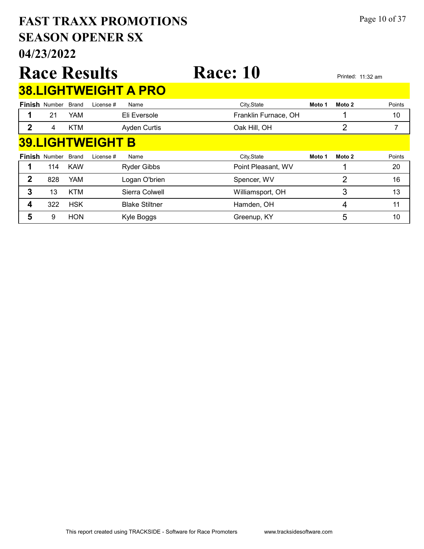# 04/23/2022 SEASON OPENER SX FAST TRAXX PROMOTIONS Page 10 of 37

### Race Results Race: 10 Printed: 11:32 am Finish Number Brand 38.LIGHTWEIGHT A PRO Brand License # Name City,State **Moto 1 Moto 2** Points 1 21 YAM Eli Eversole **Franklin Furnace, OH** 10 10 2 4 KTM Ayden Curtis Cak Hill, OH 2 7 7 Finish Number Brand 39.LIGHTWEIGHT B Brand License # Name City,State **Moto 1 Moto 2** Points 1 114 KAW Ryder Gibbs **Point Pleasant, WV** 1 20 2 828 YAM Logan O'brien Spencer, WV 2 2 16 3 13 KTM Sierra Colwell Milliamsport, OH 3 3 13 4 322 HSK Blake Stiltner **Hamden, OH** 11 5 9 HON Kyle Boggs Greenup, KY 5 5 10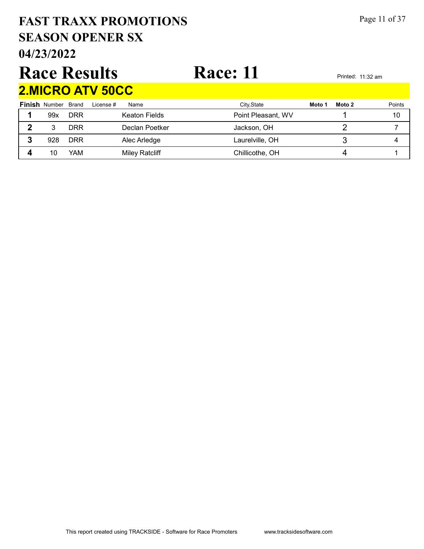# SEASON OPENER SX FAST TRAXX PROMOTIONS Page 11 of 37

04/23/2022

# Race Results Race: 11 2.MICRO ATV 50CC

|   | <b>Finish Number Brand</b> |            | License #<br>Name     | City, State        | Moto 1 | Points<br>Moto 2 |
|---|----------------------------|------------|-----------------------|--------------------|--------|------------------|
|   | 99x                        | DRR        | Keaton Fields         | Point Pleasant, WV |        | 10               |
| າ |                            | DRR        | Declan Poetker        | Jackson, OH        |        |                  |
|   | 928                        | <b>DRR</b> | Alec Arledge          | Laurelville, OH    |        |                  |
|   | 10                         | YAM        | <b>Miley Ratcliff</b> | Chillicothe, OH    |        |                  |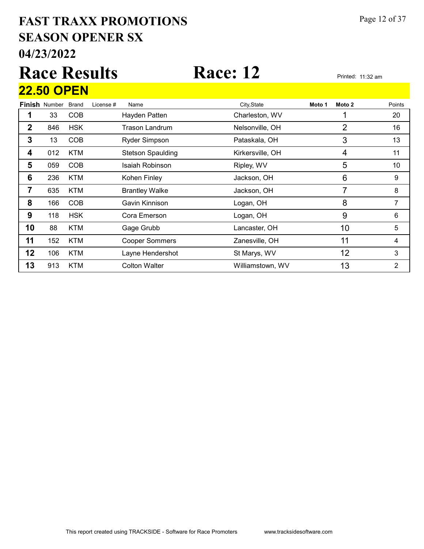# 04/23/2022 SEASON OPENER SX FAST TRAXX PROMOTIONS Page 12 of 37

# Race Results Race: 12 Printed: 11:32 am 22.50 OPEN

|             | <b>Finish</b> Number | <b>Brand</b> | License # | Name                     | City, State      | Moto 1 | Moto 2 | Points |
|-------------|----------------------|--------------|-----------|--------------------------|------------------|--------|--------|--------|
|             | 33                   | <b>COB</b>   |           | Hayden Patten            | Charleston, WV   |        |        | 20     |
| $\mathbf 2$ | 846                  | <b>HSK</b>   |           | Trason Landrum           | Nelsonville, OH  |        | 2      | 16     |
| 3           | 13                   | <b>COB</b>   |           | <b>Ryder Simpson</b>     | Pataskala, OH    |        | 3      | 13     |
| 4           | 012                  | <b>KTM</b>   |           | <b>Stetson Spaulding</b> | Kirkersville, OH |        | 4      | 11     |
| 5           | 059                  | <b>COB</b>   |           | Isaiah Robinson          | Ripley, WV       |        | 5      | 10     |
| 6           | 236                  | <b>KTM</b>   |           | Kohen Finley             | Jackson, OH      |        | 6      | 9      |
| 7           | 635                  | <b>KTM</b>   |           | <b>Brantley Walke</b>    | Jackson, OH      |        | 7      | 8      |
| 8           | 166                  | <b>COB</b>   |           | Gavin Kinnison           | Logan, OH        |        | 8      | 7      |
| 9           | 118                  | <b>HSK</b>   |           | Cora Emerson             | Logan, OH        |        | 9      | 6      |
| 10          | 88                   | <b>KTM</b>   |           | Gage Grubb               | Lancaster, OH    |        | 10     | 5      |
| 11          | 152                  | <b>KTM</b>   |           | <b>Cooper Sommers</b>    | Zanesville, OH   |        | 11     | 4      |
| 12          | 106                  | <b>KTM</b>   |           | Layne Hendershot         | St Marys, WV     |        | 12     | 3      |
| 13          | 913                  | <b>KTM</b>   |           | <b>Colton Walter</b>     | Williamstown, WV |        | 13     | 2      |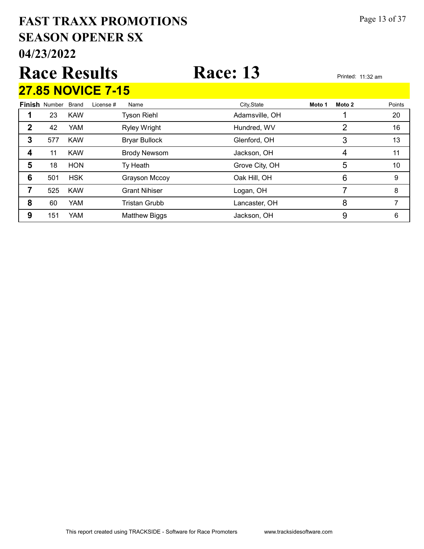# 04/23/2022 SEASON OPENER SX FAST TRAXX PROMOTIONS Page 13 of 37

# Race Results Race: 13 Printed: 11:32 am 27.85 NOVICE 7-15

Finish Number Brand Brand License # Name City,State **Moto 1 Moto 2** Points 1 23 KAW Tyson Riehl **Adamsville, OH** 20 20 2 42 YAM Ryley Wright **Hundred, WV** 2 16 3 577 KAW Bryar Bullock Glenford, OH 3 3 13 **4** 11 KAW Brody Newsom Jackson, OH 11 4 11 **5** 18 HON Ty Heath Grove City, OH 5 5 10 **6** 501 HSK Grayson Mccoy **Cannet Club Cak Hill, OH** 6 6 9 **7** 525 KAW Grant Nihiser **Communist Communist Communist Communist Communist Communist Communist Communist Communist Communist Communist Communist Communist Communist Communist Communist Communist Communist Communist Commu** 8 60 YAM Tristan Grubb Lancaster, OH 8 7 **9** 151 YAM Matthew Biggs Jackson, OH 6 9 6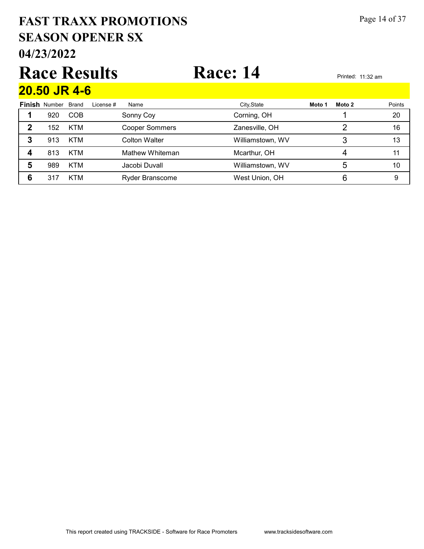# 04/23/2022 SEASON OPENER SX FAST TRAXX PROMOTIONS Page 14 of 37

# Race Results Race: 14 Printed: 11:32 am 20.50 JR 4-6

|   | <u>LUIUU UIN TTU</u> |              |           |                        |                  |        |        |        |
|---|----------------------|--------------|-----------|------------------------|------------------|--------|--------|--------|
|   | <b>Finish Number</b> | <b>Brand</b> | License # | Name                   | City, State      | Moto 1 | Moto 2 | Points |
|   | 920                  | <b>COB</b>   |           | Sonny Coy              | Corning, OH      |        |        | 20     |
|   | 152                  | <b>KTM</b>   |           | <b>Cooper Sommers</b>  | Zanesville, OH   |        |        | 16     |
| 3 | 913                  | <b>KTM</b>   |           | Colton Walter          | Williamstown, WV |        |        | 13     |
|   | 813                  | <b>KTM</b>   |           | Mathew Whiteman        | Mcarthur, OH     |        | 4      |        |
| 5 | 989                  | <b>KTM</b>   |           | Jacobi Duvall          | Williamstown, WV |        | 5      | 10     |
| 6 | 317                  | <b>KTM</b>   |           | <b>Ryder Branscome</b> | West Union, OH   |        |        |        |

This report created using TRACKSIDE - Software for Race Promoters www.tracksidesoftware.com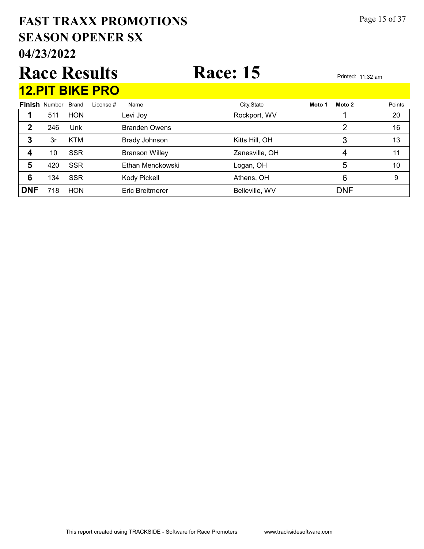# 04/23/2022 SEASON OPENER SX FAST TRAXX PROMOTIONS Page 15 of 37

# Race Results Race: 15 Printed: 11:32 am 12.PIT BIKE PRO

|            |                      | __________   | ---       |                       |                |        |            |        |
|------------|----------------------|--------------|-----------|-----------------------|----------------|--------|------------|--------|
|            | <b>Finish Number</b> | <b>Brand</b> | License # | Name                  | City, State    | Moto 1 | Moto 2     | Points |
|            | 511                  | <b>HON</b>   |           | Levi Joy              | Rockport, WV   |        |            | 20     |
| 2          | 246                  | Unk          |           | <b>Branden Owens</b>  |                |        | 2          | 16     |
| 3          | 3r                   | <b>KTM</b>   |           | <b>Brady Johnson</b>  | Kitts Hill, OH |        |            | 13     |
| 4          | 10                   | <b>SSR</b>   |           | <b>Branson Willey</b> | Zanesville, OH |        | 4          | 11     |
| 5          | 420                  | <b>SSR</b>   |           | Ethan Menckowski      | Logan, OH      |        | 5          | 10     |
| 6          | 134                  | <b>SSR</b>   |           | Kody Pickell          | Athens, OH     |        | 6          | 9      |
| <b>DNF</b> | 718                  | <b>HON</b>   |           | Eric Breitmerer       | Belleville, WV |        | <b>DNF</b> |        |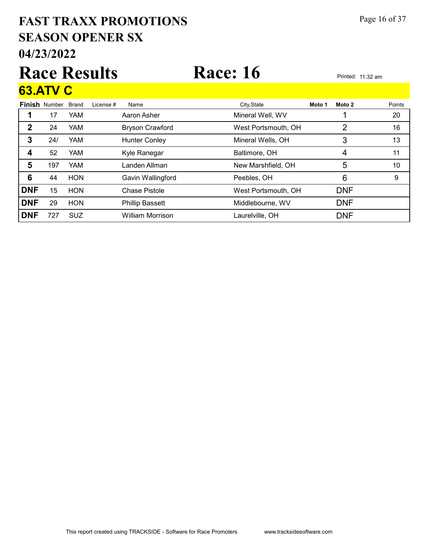# 04/23/2022 SEASON OPENER SX FAST TRAXX PROMOTIONS Page 16 of 37

# Race Results Race: 16 Printed: 11:32 am

### Finish Number Brand 63.ATV C Brand License # Name City,State **Moto 1 Moto 2** Points 1 17 YAM Aaron Asher **Mineral Well, WV** 1 20 2 24 YAM Bryson Crawford West Portsmouth, OH 2 16 3 24/ YAM Hunter Conley Mineral Wells, OH 3 3 13 4 52 YAM Kyle Ranegar Baltimore, OH 4 4 11 5 197 YAM Landen Allman New Marshfield, OH 5 5 10 **6** 44 HON Gavin Wallingford Peebles, OH 6 6 9 DNF 15 HON Chase Pistole West Portsmouth, OH DNF

**DNF** 29 HON Phillip Bassett Middlebourne, WV DNF **DNF** 727 SUZ William Morrison **Laurelville, OH DNF**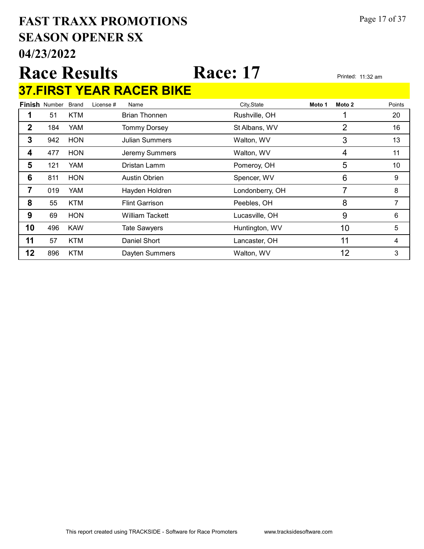# 04/23/2022 SEASON OPENER SX FAST TRAXX PROMOTIONS Page 17 of 37

# Race Results Race: 17 Printed: 11:32 am 37.FIRST YEAR RACER BIKE

|    | <b>Finish Number</b> | <b>Brand</b> | License # | Name                  | City, State     | Moto 1 | Moto 2 | Points |
|----|----------------------|--------------|-----------|-----------------------|-----------------|--------|--------|--------|
|    | 51                   | <b>KTM</b>   |           | <b>Brian Thonnen</b>  | Rushville, OH   |        |        | 20     |
| 2  | 184                  | YAM          |           | <b>Tommy Dorsey</b>   | St Albans, WV   |        | 2      | 16     |
| 3  | 942                  | <b>HON</b>   |           | <b>Julian Summers</b> | Walton, WV      |        | 3      | 13     |
| 4  | 477                  | <b>HON</b>   |           | Jeremy Summers        | Walton, WV      |        | 4      | 11     |
| 5  | 121                  | YAM          |           | Dristan Lamm          | Pomeroy, OH     |        | 5      | 10     |
| 6  | 811                  | <b>HON</b>   |           | <b>Austin Obrien</b>  | Spencer, WV     |        | 6      | 9      |
|    | 019                  | YAM          |           | Hayden Holdren        | Londonberry, OH |        | 7      | 8      |
| 8  | 55                   | <b>KTM</b>   |           | <b>Flint Garrison</b> | Peebles, OH     |        | 8      |        |
| 9  | 69                   | <b>HON</b>   |           | William Tackett       | Lucasville, OH  |        | 9      | 6      |
| 10 | 496                  | <b>KAW</b>   |           | <b>Tate Sawyers</b>   | Huntington, WV  |        | 10     | 5      |
| 11 | 57                   | <b>KTM</b>   |           | Daniel Short          | Lancaster, OH   |        | 11     | 4      |
| 12 | 896                  | <b>KTM</b>   |           | Dayten Summers        | Walton, WV      |        | 12     | 3      |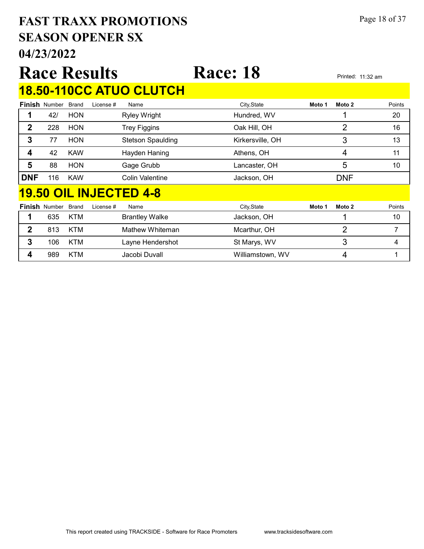# 04/23/2022 SEASON OPENER SX FAST TRAXX PROMOTIONS Page 18 of 37

|              |                            |              | <b>Race Results</b> |                               | <b>Race: 18</b>  |        |                | Printed: 11:32 am |
|--------------|----------------------------|--------------|---------------------|-------------------------------|------------------|--------|----------------|-------------------|
|              |                            |              |                     | 18.50-110CC ATUO CLUTCH       |                  |        |                |                   |
|              | <b>Finish Number</b>       | <b>Brand</b> | License #           | Name                          | City, State      | Moto 1 | Moto 2         | Points            |
| 1            | 42/                        | <b>HON</b>   |                     | <b>Ryley Wright</b>           | Hundred, WV      |        |                | 20                |
| $\mathbf{2}$ | 228                        | <b>HON</b>   |                     | <b>Trey Figgins</b>           | Oak Hill, OH     |        | $\overline{2}$ | 16                |
| 3            | 77                         | <b>HON</b>   |                     | <b>Stetson Spaulding</b>      | Kirkersville, OH |        | 3              | 13                |
| 4            | 42                         | <b>KAW</b>   |                     | Hayden Haning                 | Athens, OH       |        | 4              | 11                |
| 5            | 88                         | <b>HON</b>   |                     | Gage Grubb                    | Lancaster, OH    |        | 5              | 10                |
| <b>DNF</b>   | 116                        | <b>KAW</b>   |                     | <b>Colin Valentine</b>        | Jackson, OH      |        | <b>DNF</b>     |                   |
|              |                            |              |                     | <b>19.50 OIL INJECTED 4-8</b> |                  |        |                |                   |
|              | <b>Finish Number Brand</b> |              | License #           | Name                          | City, State      | Moto 1 | Moto 2         | Points            |
| 1            | 635                        | <b>KTM</b>   |                     | <b>Brantley Walke</b>         | Jackson, OH      |        | 1              | 10                |
| $\mathbf{2}$ | 813                        | <b>KTM</b>   |                     | Mathew Whiteman               | Mcarthur, OH     |        | $\overline{2}$ | 7                 |
| $\mathbf{3}$ | 106                        | <b>KTM</b>   |                     | Layne Hendershot              | St Marys, WV     |        | 3              | 4                 |
| 4            | 989                        | <b>KTM</b>   |                     | Jacobi Duvall                 | Williamstown, WV |        | 4              | 1                 |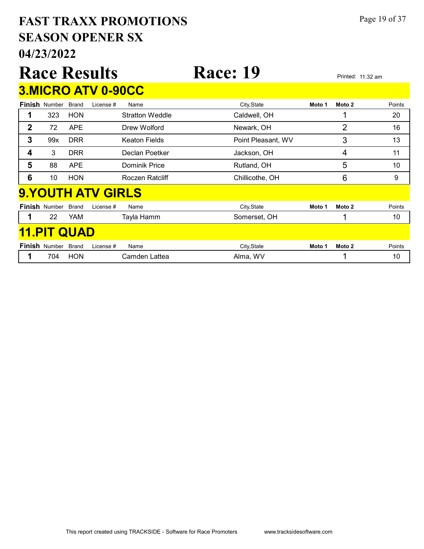# 04/23/2022 SEASON OPENER SX FAST TRAXX PROMOTIONS Page 19 of 37

|             |                      |              | <b>Race Results</b>       |                        | <b>Race: 19</b>    |        |                | Printed: 11:32 am |  |  |  |
|-------------|----------------------|--------------|---------------------------|------------------------|--------------------|--------|----------------|-------------------|--|--|--|
|             |                      |              | <b>3.MICRO ATV 0-90CC</b> |                        |                    |        |                |                   |  |  |  |
|             | <b>Finish Number</b> | <b>Brand</b> | License #                 | Name                   | City, State        | Moto 1 | Moto 2         | Points            |  |  |  |
|             | 323                  | <b>HON</b>   |                           | <b>Stratton Weddle</b> | Caldwell, OH       |        | 1              | 20                |  |  |  |
| $\mathbf 2$ | 72                   | <b>APE</b>   |                           | Drew Wolford           | Newark, OH         |        | $\overline{2}$ | 16                |  |  |  |
| 3           | 99x                  | <b>DRR</b>   |                           | <b>Keaton Fields</b>   | Point Pleasant, WV |        | 3              | 13                |  |  |  |
| 4           | 3                    | <b>DRR</b>   |                           | Declan Poetker         | Jackson, OH        |        | 4              | 11                |  |  |  |
| 5           | 88                   | <b>APE</b>   |                           | Dominik Price          | Rutland, OH        |        | 5              | 10                |  |  |  |
| 6           | 10                   | <b>HON</b>   |                           | Roczen Ratcliff        | Chillicothe, OH    |        | 6              | 9                 |  |  |  |
|             |                      |              | <b>9.YOUTH ATV GIRLS</b>  |                        |                    |        |                |                   |  |  |  |
|             | <b>Finish Number</b> | <b>Brand</b> | License #                 | Name                   | City, State        | Moto 1 | Moto 2         | Points            |  |  |  |
|             | 22                   | YAM          |                           | Tayla Hamm             | Somerset, OH       |        | 1              | 10                |  |  |  |
|             | <b>11.PIT QUAD</b>   |              |                           |                        |                    |        |                |                   |  |  |  |

| Finish | Number | Brand | Name<br>Tcense # | City State | Moto | Moto 2 | Points |
|--------|--------|-------|------------------|------------|------|--------|--------|
|        | 704    | HON   | 'nm<br>.attea    | WV.<br>m٤  |      |        | ιu     |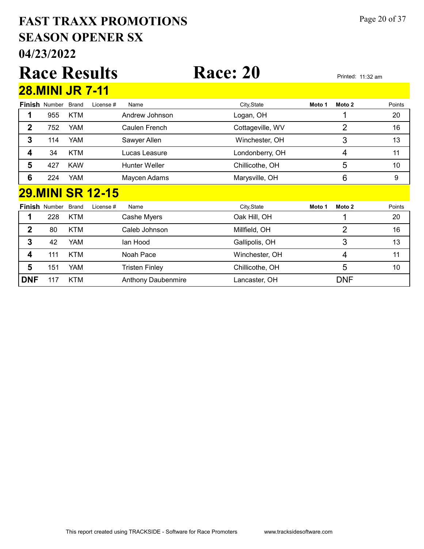# 04/23/2022 SEASON OPENER SX FAST TRAXX PROMOTIONS Page 20 of 37

### Race Results Race: 20 Printed: 11:32 am Finish Number Brand 28.MINI JR 7-11 Brand License # Name City,State **Moto 1 Moto 2** Points 1 955 KTM Andrew Johnson Logan, OH 20 1 2 752 YAM Caulen French Cottageville, WV 2 2 16 3 114 YAM Sawyer Allen Winchester, OH 3 3 13 4 34 KTM Lucas Leasure Londonberry, OH 4 11 5 427 KAW Hunter Weller Chillicothe, OH 5 5 5 10 6 224 YAM Maycen Adams Marysville, OH 6 6 9 Finish Number Brand 29.MINI SR 12-15 Brand License # Name City,State **Moto 1 Moto 2** Points 1 228 KTM Cashe Myers Cashe Oak Hill, OH 20 2 80 KTM Caleb Johnson Millfield, OH 16 2 16 **3** 42 YAM Ian Hood Gallipolis, OH 3 3 13 4 111 KTM Noah Pace Winchester, OH 4 11 **5** 151 YAM Tristen Finley Chillicothe, OH 5 5 10 **DNF** 117 KTM Anthony Daubenmire Lancaster, OH DNF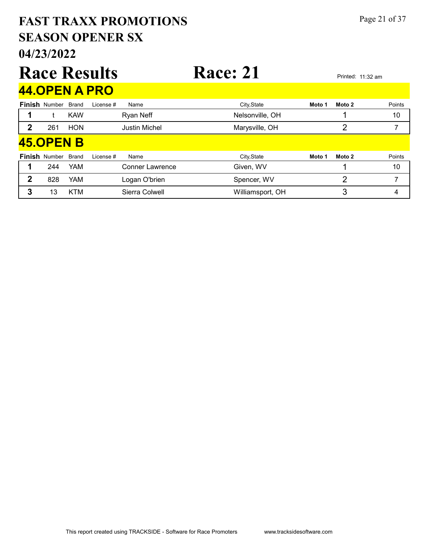## 04/23/2022 SEASON OPENER SX FAST TRAXX PROMOTIONS Page 21 of 37 Race Results Race: 21 Printed: 11:32 am Finish Number Brand 44.OPEN A PRO Brand License # Name City,State **Moto 1 Moto 2** Points 1 t KAW Ryan Neff Nelsonville, OH 1 10 2 261 HON Justin Michel Marysville, OH 2 7 Finish Number Brand 45.OPEN B Brand License # Name City,State **Moto 1 Moto 2** Points 1 244 YAM Conner Lawrence Given, WV 5 Given, WV 1 10 2 828 YAM Logan O'brien Spencer, WV 2 7 7 3 13 KTM Sierra Colwell Milliamsport, OH 3 3 4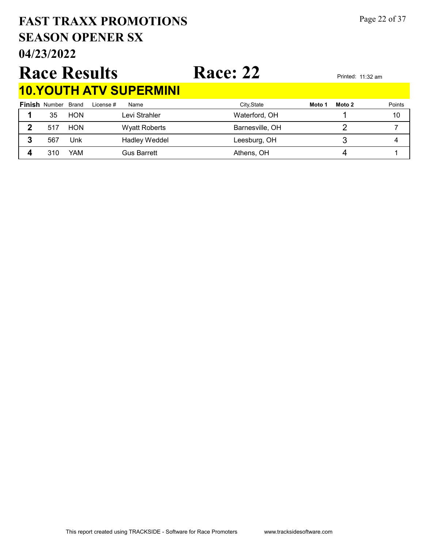# SEASON OPENER SX FAST TRAXX PROMOTIONS Page 22 of 37

# Race Results Race: 22 Printed: 11:32 am 10.YOUTH ATV SUPERMINI

|    |                            |            | <u>IV. I VU I II AI V UUI LIMIIIMI</u> |                 |                  |        |
|----|----------------------------|------------|----------------------------------------|-----------------|------------------|--------|
|    | <b>Finish Number Brand</b> |            | License #<br>Name                      | City, State     | Moto 2<br>Moto 1 | Points |
|    | 35                         | <b>HON</b> | Levi Strahler                          | Waterford, OH   |                  | 10     |
| 2  | 517                        | <b>HON</b> | <b>Wyatt Roberts</b>                   | Barnesville, OH |                  |        |
| J. | 567                        | Unk        | <b>Hadley Weddel</b>                   | Leesburg, OH    |                  |        |
|    | 310                        | YAM        | <b>Gus Barrett</b>                     | Athens, OH      |                  |        |

# 04/23/2022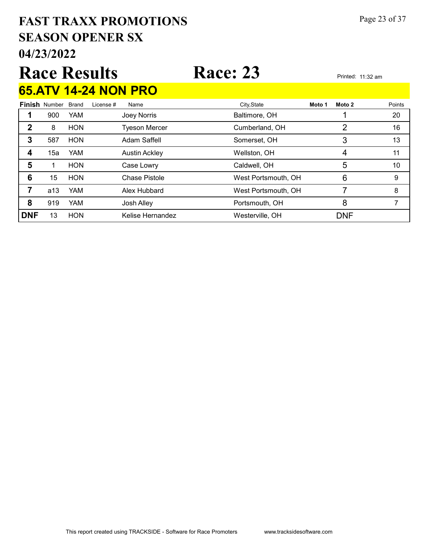# 04/23/2022 SEASON OPENER SX FAST TRAXX PROMOTIONS Page 23 of 37

|   |                            |            | <b>Race Results</b> |                             | <b>Race: 23</b> |        | Printed: 11:32 am |        |
|---|----------------------------|------------|---------------------|-----------------------------|-----------------|--------|-------------------|--------|
|   |                            |            |                     | <b>65.ATV 14-24 NON PRO</b> |                 |        |                   |        |
|   | <b>Finish Number Brand</b> |            | License #           | Name                        | City, State     | Moto 1 | Moto 2            | Points |
|   | 900                        | <b>YAM</b> |                     | Joey Norris                 | Baltimore, OH   |        |                   | 20     |
| 2 | 8                          | <b>HON</b> |                     | <b>Tyeson Mercer</b>        | Cumberland, OH  |        |                   | 16     |
| 3 | 587                        | <b>HON</b> |                     | Adam Saffell                | Somerset, OH    |        | 3                 | 13     |
|   | 15a                        | YAM        |                     | <b>Austin Ackley</b>        | Wellston, OH    |        |                   |        |

5 1 HON Case Lowry Caldwell, OH 5 5 10 **6** 15 HON Chase Pistole West Portsmouth, OH 6 9 **7** a13 YAM Alex Hubbard West Portsmouth, OH 7 8 8 919 YAM Josh Alley **Portsmouth, OH 7** 8 7

**DNF** 13 HON Kelise Hernandez Westerville, OH DNF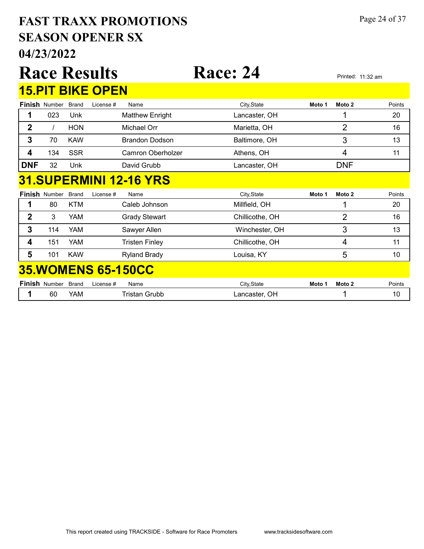# 04/23/2022 SEASON OPENER SX FAST TRAXX PROMOTIONS Page 24 of 37

|                |                      |              | <b>Race Results</b>           | <b>Race: 24</b> |        |                   | Printed: 11:32 am |
|----------------|----------------------|--------------|-------------------------------|-----------------|--------|-------------------|-------------------|
|                |                      |              | <b>15.PIT BIKE OPEN</b>       |                 |        |                   |                   |
|                | <b>Finish Number</b> | <b>Brand</b> | Name<br>License #             | City, State     | Moto 1 | Moto <sub>2</sub> | Points            |
| 1              | 023                  | Unk          | <b>Matthew Enright</b>        | Lancaster, OH   |        | 1                 | 20                |
| $\overline{2}$ |                      | <b>HON</b>   | Michael Orr                   | Marietta, OH    |        | 2                 | 16                |
| 3              | 70                   | <b>KAW</b>   | <b>Brandon Dodson</b>         | Baltimore, OH   |        | 3                 | 13                |
| 4              | 134                  | <b>SSR</b>   | <b>Camron Oberholzer</b>      | Athens, OH      |        | 4                 | 11                |
| <b>DNF</b>     | 32                   | Unk          | David Grubb                   | Lancaster, OH   |        | <b>DNF</b>        |                   |
|                |                      |              | <b>31.SUPERMINI 12-16 YRS</b> |                 |        |                   |                   |
|                | <b>Finish Number</b> | <b>Brand</b> | License #<br>Name             | City, State     | Moto 1 | Moto 2            | Points            |
| 1              | 80                   | <b>KTM</b>   | Caleb Johnson                 | Millfield, OH   |        |                   | 20                |
| $\mathbf{2}$   | 3                    | <b>YAM</b>   | <b>Grady Stewart</b>          | Chillicothe, OH |        | $\overline{2}$    | 16                |
| 3              | 114                  | <b>YAM</b>   | Sawyer Allen                  | Winchester, OH  |        | 3                 | 13                |
| 4              | 151                  | <b>YAM</b>   | <b>Tristen Finley</b>         | Chillicothe, OH |        | 4                 | 11                |
| 5              | 101                  | <b>KAW</b>   | <b>Ryland Brady</b>           | Louisa, KY      |        | 5                 | 10 <sup>1</sup>   |
|                |                      |              | <b>35. WOMENS 65-150CC</b>    |                 |        |                   |                   |
|                | <b>Finish Number</b> | <b>Brand</b> | Name<br>License #             | City, State     | Moto 1 | Moto 2            | Points            |
| 1              | 60                   | YAM          | <b>Tristan Grubb</b>          | Lancaster, OH   |        |                   | 10                |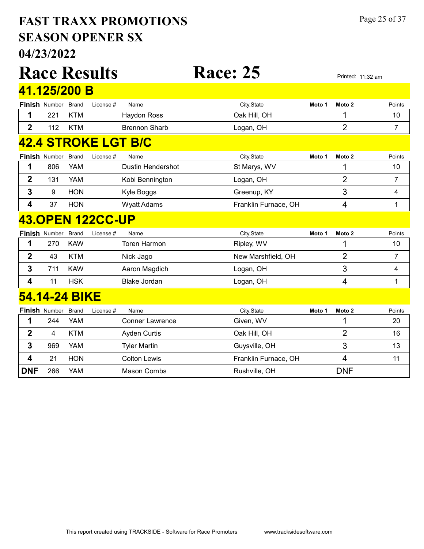# 04/23/2022 SEASON OPENER SX FAST TRAXX PROMOTIONS Page 25 of 37

|                         |                      |              | <b>Race Results</b>     |                            | <b>Race: 25</b>      |        |                | Printed: 11:32 am |
|-------------------------|----------------------|--------------|-------------------------|----------------------------|----------------------|--------|----------------|-------------------|
|                         | 41.125/200 B         |              |                         |                            |                      |        |                |                   |
|                         | <b>Finish Number</b> | <b>Brand</b> | License #               | Name                       | City, State          | Moto 1 | Moto 2         | Points            |
| 1                       | 221                  | <b>KTM</b>   |                         | <b>Haydon Ross</b>         | Oak Hill, OH         |        | 1              | 10                |
| $\overline{2}$          | 112                  | <b>KTM</b>   |                         | <b>Brennon Sharb</b>       | Logan, OH            |        | $\overline{2}$ | $\overline{7}$    |
|                         |                      |              |                         | <b>42.4 STROKE LGT B/C</b> |                      |        |                |                   |
|                         | Finish Number        | <b>Brand</b> | License #               | Name                       | City, State          | Moto 1 | Moto 2         | Points            |
| 1                       | 806                  | <b>YAM</b>   |                         | <b>Dustin Hendershot</b>   | St Marys, WV         |        | 1              | 10                |
| $\mathbf 2$             | 131                  | <b>YAM</b>   |                         | Kobi Bennington            | Logan, OH            |        | $\overline{2}$ | $\overline{7}$    |
| 3                       | 9                    | <b>HON</b>   |                         | Kyle Boggs                 | Greenup, KY          |        | 3              | 4                 |
| 4                       | 37                   | <b>HON</b>   |                         | <b>Wyatt Adams</b>         | Franklin Furnace, OH |        | 4              | 1                 |
|                         |                      |              | <b>43.OPEN 122CC-UP</b> |                            |                      |        |                |                   |
|                         | Finish Number        | <b>Brand</b> | License #               | Name                       | City, State          | Moto 1 | Moto 2         | Points            |
| 1                       | 270                  | <b>KAW</b>   |                         | <b>Toren Harmon</b>        | Ripley, WV           |        | 1              | 10                |
| $\mathbf 2$             | 43                   | <b>KTM</b>   |                         | Nick Jago                  | New Marshfield, OH   |        | $\overline{2}$ | $\overline{7}$    |
| $\overline{\mathbf{3}}$ | 711                  | <b>KAW</b>   |                         | Aaron Magdich              | Logan, OH            |        | 3              | 4                 |
| 4                       | 11                   | <b>HSK</b>   |                         | <b>Blake Jordan</b>        | Logan, OH            |        | 4              | 1                 |
|                         | 54.14-24 BIKE        |              |                         |                            |                      |        |                |                   |
|                         | <b>Finish Number</b> | <b>Brand</b> | License #               | Name                       | City, State          | Moto 1 | Moto 2         | Points            |
| 1                       | 244                  | <b>YAM</b>   |                         | <b>Conner Lawrence</b>     | Given, WV            |        | 1              | 20                |
| $\boldsymbol{2}$        | 4                    | <b>KTM</b>   |                         | <b>Ayden Curtis</b>        | Oak Hill, OH         |        | $\overline{2}$ | 16                |
| 3                       | 969                  | <b>YAM</b>   |                         | <b>Tyler Martin</b>        | Guysville, OH        |        | 3              | 13                |
| 4                       | 21                   | <b>HON</b>   |                         | <b>Colton Lewis</b>        | Franklin Furnace, OH |        | 4              | 11                |
| <b>DNF</b>              | 266                  | <b>YAM</b>   |                         | <b>Mason Combs</b>         | Rushville, OH        |        | <b>DNF</b>     |                   |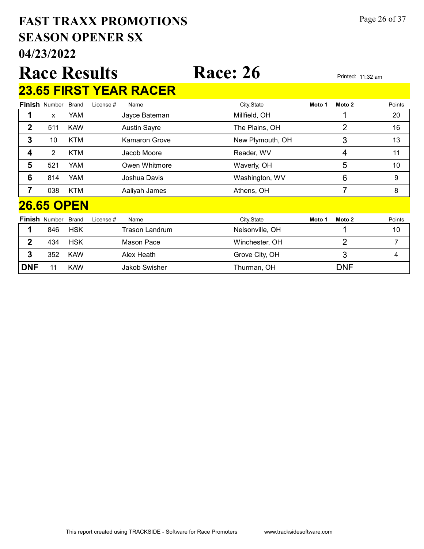# 04/23/2022 SEASON OPENER SX FAST TRAXX PROMOTIONS Page 26 of 37

# Race Results Race: 26 Printed: 11:32 am 23.65 FIRST YEAR RACER

|              | <b>Finish Number</b> | <b>Brand</b> | License # | Name                  | City, State      | Moto 1 | Moto 2         | Points |
|--------------|----------------------|--------------|-----------|-----------------------|------------------|--------|----------------|--------|
|              | $\mathsf{x}$         | YAM          |           | Jayce Bateman         | Millfield, OH    |        |                | 20     |
| $\mathbf 2$  | 511                  | <b>KAW</b>   |           | <b>Austin Sayre</b>   | The Plains, OH   |        | 2              | 16     |
| 3            | 10                   | <b>KTM</b>   |           | Kamaron Grove         | New Plymouth, OH |        | 3              | 13     |
| 4            | $\overline{2}$       | <b>KTM</b>   |           | Jacob Moore           | Reader, WV       |        | 4              | 11     |
| 5            | 521                  | YAM          |           | Owen Whitmore         | Waverly, OH      |        | 5              | 10     |
| 6            | 814                  | <b>YAM</b>   |           | Joshua Davis          | Washington, WV   |        | 6              | 9      |
| 7            | 038                  | <b>KTM</b>   |           | Aaliyah James         | Athens, OH       |        | 7              | 8      |
|              | <b>26.65 OPEN</b>    |              |           |                       |                  |        |                |        |
|              | <b>Finish Number</b> | <b>Brand</b> | License # | Name                  | City, State      | Moto 1 | Moto 2         | Points |
|              | 846                  | <b>HSK</b>   |           | <b>Trason Landrum</b> | Nelsonville, OH  |        |                | 10     |
| $\mathbf{2}$ | 434                  | <b>HSK</b>   |           | Mason Pace            | Winchester, OH   |        | $\overline{2}$ | 7      |
| 3            | 352                  | <b>KAW</b>   |           | Alex Heath            | Grove City, OH   |        | 3              | 4      |
| <b>DNF</b>   | 11                   | <b>KAW</b>   |           | Jakob Swisher         | Thurman, OH      |        | <b>DNF</b>     |        |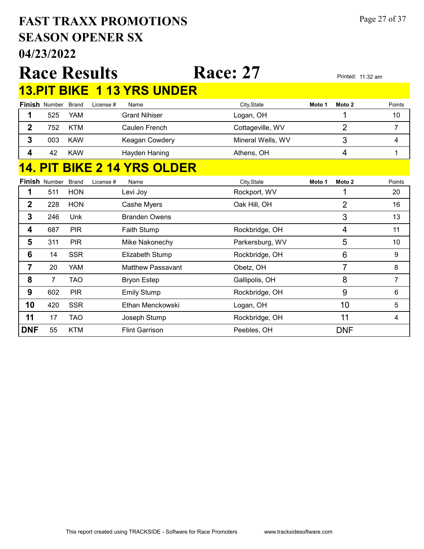# 04/23/2022 SEASON OPENER SX FAST TRAXX PROMOTIONS Page 27 of 37

|                |                     |              | <b>Race Results</b> |                                  | <b>Race: 27</b>   |        |                | Printed: 11:32 am |
|----------------|---------------------|--------------|---------------------|----------------------------------|-------------------|--------|----------------|-------------------|
|                |                     |              |                     | <b>13.PIT BIKE 113 YRS UNDER</b> |                   |        |                |                   |
|                | Finish Number Brand |              | License #           | Name                             | City, State       | Moto 1 | Moto 2         | Points            |
| 1              | 525                 | <b>YAM</b>   |                     | <b>Grant Nihiser</b>             | Logan, OH         |        | 1              | 10                |
| $\mathbf{2}$   | 752                 | <b>KTM</b>   |                     | Caulen French                    | Cottageville, WV  |        | $\overline{2}$ | 7                 |
| 3              | 003                 | <b>KAW</b>   |                     | Keagan Cowdery                   | Mineral Wells, WV |        | 3              | 4                 |
| 4              | 42                  | <b>KAW</b>   |                     | Hayden Haning                    | Athens, OH        |        | $\overline{4}$ | 1                 |
|                |                     |              |                     | <b>PIT BIKE 2 14 YRS OLDER</b>   |                   |        |                |                   |
|                | Finish Number       | <b>Brand</b> | License #           | Name                             | City, State       | Moto 1 | Moto 2         | Points            |
| 1              | 511                 | <b>HON</b>   |                     | Levi Joy                         | Rockport, WV      |        |                | 20                |
| $\overline{2}$ | 228                 | <b>HON</b>   |                     | Cashe Myers                      | Oak Hill, OH      |        | $\overline{2}$ | 16                |
| 3              | 246                 | Unk          |                     | <b>Branden Owens</b>             |                   |        | 3              | 13                |
| 4              | 687                 | <b>PIR</b>   |                     | Faith Stump                      | Rockbridge, OH    |        | 4              | 11                |
| 5              | 311                 | <b>PIR</b>   |                     | Mike Nakonechy                   | Parkersburg, WV   |        | 5              | 10                |
| 6              | 14                  | <b>SSR</b>   |                     | Elizabeth Stump                  | Rockbridge, OH    |        | 6              | 9                 |
| $\overline{7}$ | 20                  | <b>YAM</b>   |                     | <b>Matthew Passavant</b>         | Obetz, OH         |        | 7              | 8                 |
| 8              | 7                   | <b>TAO</b>   |                     | <b>Bryon Estep</b>               | Gallipolis, OH    |        | 8              | $\overline{7}$    |
| 9              | 602                 | <b>PIR</b>   |                     | <b>Emily Stump</b>               | Rockbridge, OH    |        | 9              | 6                 |
| 10             | 420                 | <b>SSR</b>   |                     | Ethan Menckowski                 | Logan, OH         |        | 10             | 5                 |
| 11             | 17                  | <b>TAO</b>   |                     | Joseph Stump                     | Rockbridge, OH    |        | 11             | $\overline{4}$    |
| <b>DNF</b>     | 55                  | <b>KTM</b>   |                     | <b>Flint Garrison</b>            | Peebles, OH       |        | <b>DNF</b>     |                   |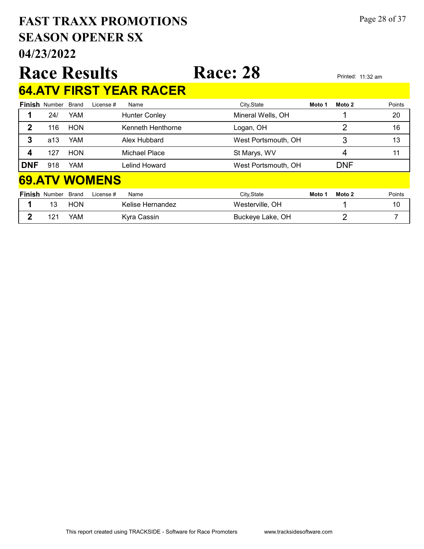# SEASON OPENER SX FAST TRAXX PROMOTIONS Page 28 of 37

04/23/2022

# Race Results Race: 28 Printed: 11:32 am 64.ATV FIRST YEAR RACER

| ------     |                      |                      |                      |                     |        |            |        |
|------------|----------------------|----------------------|----------------------|---------------------|--------|------------|--------|
|            | <b>Finish Number</b> | <b>Brand</b>         | License #<br>Name    | City, State         | Moto 1 | Moto 2     | Points |
|            | 24/                  | YAM                  | <b>Hunter Conley</b> | Mineral Wells, OH   |        |            | 20     |
| 2          | 116                  | <b>HON</b>           | Kenneth Henthorne    | Logan, OH           |        | 2          | 16     |
| 3          | a13                  | <b>YAM</b>           | Alex Hubbard         | West Portsmouth, OH |        | 3          | 13     |
| 4          | 127                  | <b>HON</b>           | Michael Place        | St Marys, WV        |        | 4          | 11     |
| <b>DNF</b> | 918                  | <b>YAM</b>           | Lelind Howard        | West Portsmouth, OH |        | <b>DNF</b> |        |
|            |                      | <b>69.ATV WOMENS</b> |                      |                     |        |            |        |
|            | <b>Finish Number</b> | <b>Brand</b>         | License #<br>Name    | City, State         | Moto 1 | Moto 2     | Points |
|            | 13                   | <b>HON</b>           | Kelise Hernandez     | Westerville, OH     |        |            | 10     |

2 121 YAM Kyra Cassin Buckeye Lake, OH 2 7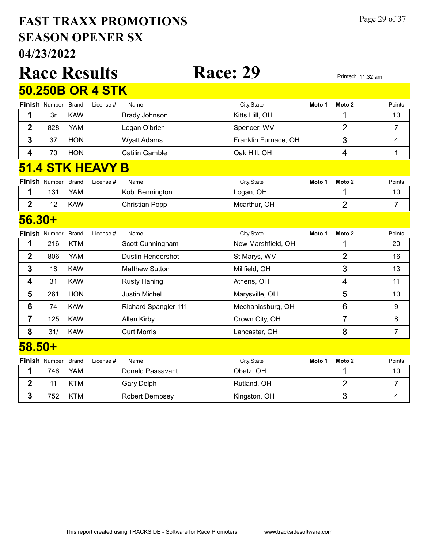# 04/23/2022 SEASON OPENER SX FAST TRAXX PROMOTIONS Page 29 of 37

|                | 04/23/2022           |              |                         |                          |                      |        |                   |                   |
|----------------|----------------------|--------------|-------------------------|--------------------------|----------------------|--------|-------------------|-------------------|
|                |                      |              | <b>Race Results</b>     |                          | <b>Race: 29</b>      |        |                   | Printed: 11:32 am |
|                |                      |              | <b>50.250B OR 4 STK</b> |                          |                      |        |                   |                   |
|                | Finish Number        | <b>Brand</b> | License #               | Name                     | City, State          | Moto 1 | Moto 2            | Points            |
| 1              | 3r                   | <b>KAW</b>   |                         | <b>Brady Johnson</b>     | Kitts Hill, OH       |        |                   | 10                |
| $\overline{2}$ | 828                  | <b>YAM</b>   |                         | Logan O'brien            | Spencer, WV          |        | $\overline{2}$    | 7                 |
| 3              | 37                   | <b>HON</b>   |                         | <b>Wyatt Adams</b>       | Franklin Furnace, OH |        | 3                 | 4                 |
| 4              | 70                   | <b>HON</b>   |                         | <b>Catilin Gamble</b>    | Oak Hill, OH         |        | 4                 | 1                 |
|                |                      |              | 51.4 STK HEAVY B        |                          |                      |        |                   |                   |
|                | <b>Finish Number</b> | <b>Brand</b> |                         |                          |                      |        |                   |                   |
|                |                      |              | License #               | Name                     | City, State          | Moto 1 | Moto <sub>2</sub> | Points            |
| 1              | 131                  | YAM          |                         | Kobi Bennington          | Logan, OH            |        | 1                 | 10                |
| $\overline{2}$ | 12                   | <b>KAW</b>   |                         | <b>Christian Popp</b>    | Mcarthur, OH         |        | $\overline{2}$    | $\overline{7}$    |
| $56.30+$       |                      |              |                         |                          |                      |        |                   |                   |
|                | Finish Number        | <b>Brand</b> | License #               | Name                     | City, State          | Moto 1 | Moto 2            | Points            |
| 1              | 216                  | <b>KTM</b>   |                         | Scott Cunningham         | New Marshfield, OH   |        | 1                 | 20                |
| $\overline{2}$ | 806                  | <b>YAM</b>   |                         | <b>Dustin Hendershot</b> | St Marys, WV         |        | $\overline{2}$    | 16                |
| 3              | 18                   | <b>KAW</b>   |                         | <b>Matthew Sutton</b>    | Millfield, OH        |        | 3                 | 13                |
| 4              | 31                   | <b>KAW</b>   |                         | <b>Rusty Haning</b>      | Athens, OH           |        | $\overline{4}$    | 11                |

| 6             | 74                         | <b>KAW</b> |           | <b>Richard Spangler 111</b> | Mechanicsburg, OH |        | 6      | 9      |
|---------------|----------------------------|------------|-----------|-----------------------------|-------------------|--------|--------|--------|
|               | 125                        | <b>KAW</b> |           | Allen Kirby                 | Crown City, OH    |        |        | 8      |
| 8             | 31/                        | <b>KAW</b> |           | <b>Curt Morris</b>          | Lancaster, OH     |        | 8      |        |
| <u>58.50+</u> |                            |            |           |                             |                   |        |        |        |
|               | <b>Finish Number Brand</b> |            | License # | Name                        | City, State       | Moto 1 | Moto 2 | Points |
|               | 746                        | YAM        |           | Donald Passavant            | Obetz, OH         |        |        | 10     |
| 2             | 11                         | <b>KTM</b> |           | Gary Delph                  | Rutland, OH       |        | າ      |        |
|               | 752                        | <b>KTM</b> |           | <b>Robert Dempsey</b>       | Kingston, OH      |        | 3      |        |
|               |                            |            |           |                             |                   |        |        |        |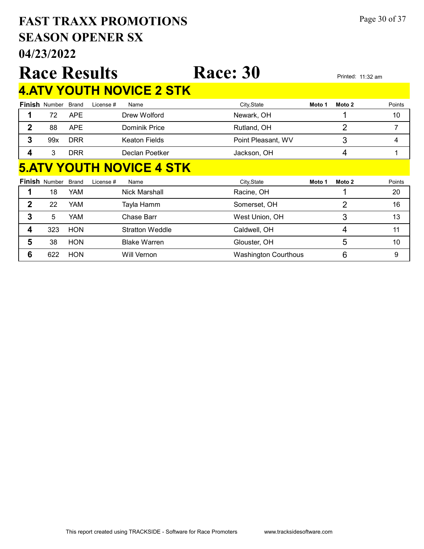# 04/23/2022 SEASON OPENER SX FAST TRAXX PROMOTIONS Page 30 of 37

|                |                      |              | <b>Race Results</b>             | <b>Race: 30</b>             |        |                   | Printed: 11:32 am |
|----------------|----------------------|--------------|---------------------------------|-----------------------------|--------|-------------------|-------------------|
|                |                      |              | <b>4.ATV YOUTH NOVICE 2 STK</b> |                             |        |                   |                   |
|                | <b>Finish Number</b> | <b>Brand</b> | License #<br>Name               | City, State                 | Moto 1 | Moto <sub>2</sub> | Points            |
| 1              | 72                   | <b>APE</b>   | Drew Wolford                    | Newark, OH                  |        |                   | 10                |
| $\mathbf{2}$   | 88                   | <b>APE</b>   | Dominik Price                   | Rutland, OH                 |        | $\overline{2}$    | 7                 |
| $\mathbf{3}$   | 99x                  | <b>DRR</b>   | <b>Keaton Fields</b>            | Point Pleasant, WV          |        | 3                 | 4                 |
| 4              | 3                    | <b>DRR</b>   | Declan Poetker                  | Jackson, OH                 |        | 4                 | 1                 |
|                |                      |              | <b>5.ATV YOUTH NOVICE 4 STK</b> |                             |        |                   |                   |
|                | <b>Finish Number</b> | <b>Brand</b> | License #<br>Name               | City, State                 | Moto 1 | Moto <sub>2</sub> | Points            |
| 1              | 18                   | YAM          | Nick Marshall                   | Racine, OH                  |        | 1                 | 20                |
| $\overline{2}$ | 22                   | YAM          | Tayla Hamm                      | Somerset, OH                |        | $\overline{2}$    | 16                |
| 3              | 5                    | YAM          | Chase Barr                      | West Union, OH              |        | 3                 | 13                |
| 4              | 323                  | <b>HON</b>   | <b>Stratton Weddle</b>          | Caldwell, OH                |        | 4                 | 11                |
| 5              | 38                   | <b>HON</b>   | <b>Blake Warren</b>             | Glouster, OH                |        | 5                 | 10                |
| 6              | 622                  | <b>HON</b>   | <b>Will Vernon</b>              | <b>Washington Courthous</b> |        | 6                 | 9                 |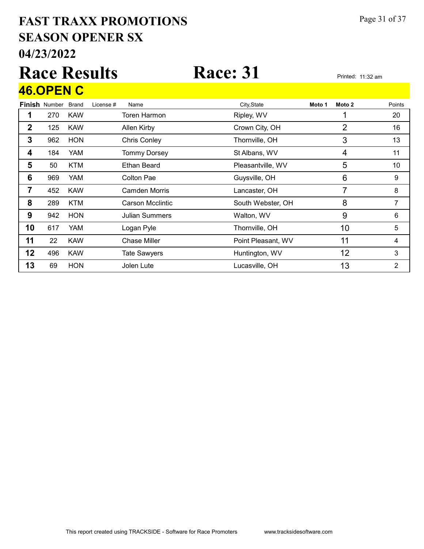# 04/23/2022 SEASON OPENER SX FAST TRAXX PROMOTIONS Page 31 of 37

# Race Results Race: 31 Printed: 11:32 am 46.OPEN C

|             | <b>Finish Number</b> | <b>Brand</b> | License # | Name                    | City, State        | Moto 1 | Moto 2 | Points |
|-------------|----------------------|--------------|-----------|-------------------------|--------------------|--------|--------|--------|
|             | 270                  | <b>KAW</b>   |           | Toren Harmon            | Ripley, WV         |        |        | 20     |
| $\mathbf 2$ | 125                  | <b>KAW</b>   |           | Allen Kirby             | Crown City, OH     |        | 2      | 16     |
| 3           | 962                  | <b>HON</b>   |           | <b>Chris Conley</b>     | Thornville, OH     |        | 3      | 13     |
| 4           | 184                  | YAM          |           | <b>Tommy Dorsey</b>     | St Albans, WV      |        | 4      | 11     |
| 5           | 50                   | <b>KTM</b>   |           | <b>Ethan Beard</b>      | Pleasantville, WV  |        | 5      | 10     |
| 6           | 969                  | <b>YAM</b>   |           | Colton Pae              | Guysville, OH      |        | 6      | 9      |
| 7           | 452                  | <b>KAW</b>   |           | Camden Morris           | Lancaster, OH      |        | 7      | 8      |
| 8           | 289                  | <b>KTM</b>   |           | <b>Carson Mcclintic</b> | South Webster, OH  |        | 8      | 7      |
| 9           | 942                  | <b>HON</b>   |           | Julian Summers          | Walton, WV         |        | 9      | 6      |
| 10          | 617                  | YAM          |           | Logan Pyle              | Thornville, OH     |        | 10     | 5      |
| 11          | 22                   | <b>KAW</b>   |           | Chase Miller            | Point Pleasant, WV |        | 11     | 4      |
| 12          | 496                  | <b>KAW</b>   |           | <b>Tate Sawyers</b>     | Huntington, WV     |        | 12     | 3      |
| 13          | 69                   | <b>HON</b>   |           | Jolen Lute              | Lucasville, OH     |        | 13     | 2      |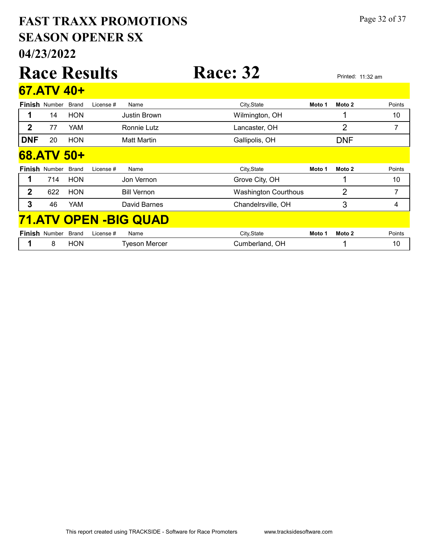# 04/23/2022 SEASON OPENER SX FAST TRAXX PROMOTIONS Page 32 of 37

|                |                      |              | <b>Race Results</b> |                               | <b>Race: 32</b>             |        |            | Printed: 11:32 am |
|----------------|----------------------|--------------|---------------------|-------------------------------|-----------------------------|--------|------------|-------------------|
|                | 67.ATV 40+           |              |                     |                               |                             |        |            |                   |
|                | <b>Finish Number</b> | <b>Brand</b> | License #           | Name                          | City, State                 | Moto 1 | Moto 2     | Points            |
| 1              | 14                   | <b>HON</b>   |                     | <b>Justin Brown</b>           | Wilmington, OH              |        | 1          | 10                |
| $\mathbf 2$    | 77                   | YAM          |                     | Ronnie Lutz                   | Lancaster, OH               |        | 2          | 7                 |
| <b>DNF</b>     | 20                   | <b>HON</b>   |                     | <b>Matt Martin</b>            | Gallipolis, OH              |        | <b>DNF</b> |                   |
|                | 68.ATV 50+           |              |                     |                               |                             |        |            |                   |
|                | <b>Finish Number</b> | <b>Brand</b> | License #           | Name                          | City, State                 | Moto 1 | Moto 2     | Points            |
| 1              | 714                  | <b>HON</b>   |                     | Jon Vernon                    | Grove City, OH              |        | 1          | 10                |
| $\overline{2}$ | 622                  | <b>HON</b>   |                     | <b>Bill Vernon</b>            | <b>Washington Courthous</b> |        | 2          | 7                 |
| 3              | 46                   | YAM          |                     | David Barnes                  | Chandelrsville, OH          |        | 3          | 4                 |
|                |                      |              |                     | <b>71.ATV OPEN - BIG QUAD</b> |                             |        |            |                   |
|                | <b>Finish Number</b> | <b>Brand</b> | License #           | Name                          | City, State                 | Moto 1 | Moto 2     | Points            |
|                | 8                    | <b>HON</b>   |                     | <b>Tyeson Mercer</b>          | Cumberland, OH              |        | 1          | 10                |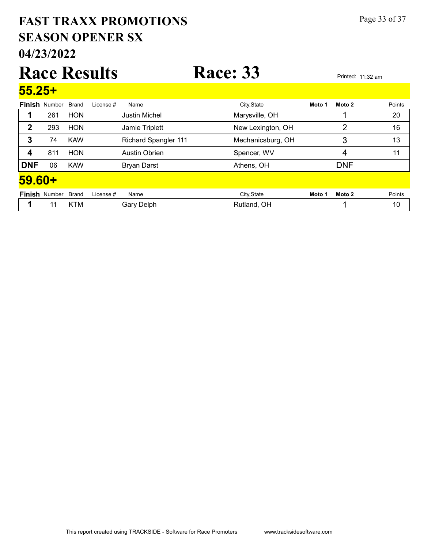# 04/23/2022 SEASON OPENER SX FAST TRAXX PROMOTIONS Page 33 of 37

# Race Results Race: 33 Printed: 11:32 am 55.25+

| <u>JJ.ZJ '</u> |                            |            |           |                             |                   |        |            |        |
|----------------|----------------------------|------------|-----------|-----------------------------|-------------------|--------|------------|--------|
|                | <b>Finish Number Brand</b> |            | License # | Name                        | City, State       | Moto 1 | Moto 2     | Points |
|                | 261                        | <b>HON</b> |           | <b>Justin Michel</b>        | Marysville, OH    |        |            | 20     |
| 2              | 293                        | <b>HON</b> |           | Jamie Triplett              | New Lexington, OH |        | 2          | 16     |
| 3              | 74                         | <b>KAW</b> |           | <b>Richard Spangler 111</b> | Mechanicsburg, OH |        | 3          | 13     |
| 4              | 811                        | <b>HON</b> |           | <b>Austin Obrien</b>        | Spencer, WV       |        | 4          | 11     |
| <b>DNF</b>     | 06                         | <b>KAW</b> |           | <b>Bryan Darst</b>          | Athens, OH        |        | <b>DNF</b> |        |
| 59.60+         |                            |            |           |                             |                   |        |            |        |
|                | Finish Number Brand        |            | License # | Name                        | City, State       | Moto 1 | Moto 2     | Points |
|                | 11                         | <b>KTM</b> |           | Gary Delph                  | Rutland, OH       |        |            | 10     |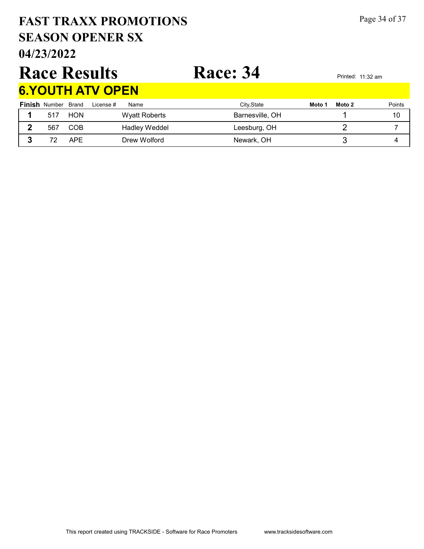# 04/23/2022 SEASON OPENER SX FAST TRAXX PROMOTIONS Page 34 of 37

# Race Results Race: 34 Printed: 11:32 am

# 6.YOUTH ATV OPEN

| <b>Finish Number Brand</b> |            | License #<br>Name | City, State     | Moto 1 | Moto 2 | Points |
|----------------------------|------------|-------------------|-----------------|--------|--------|--------|
| 517                        | HON        | Wyatt Roberts     | Barnesville, OH |        |        | 10     |
| 567                        | COB        | Hadley Weddel     | Leesburg, OH    |        |        |        |
|                            | <b>APF</b> | Drew Wolford      | Newark, OH      |        |        |        |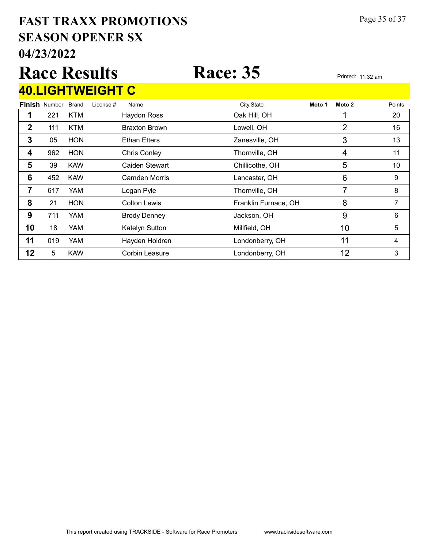# 04/23/2022 SEASON OPENER SX FAST TRAXX PROMOTIONS Page 35 of 37

## Race Results Race: 35 Printed: 11:32 am Finish Number Brand 40.LIGHTWEIGHT C Brand License # Name City,State **Moto 1 Moto 2** Points 1 221 KTM Haydon Ross Cak Hill, OH 20 20

|    | 111 | <b>KTM</b> | <b>Braxton Brown</b>  | Lowell, OH           | 2  | 16 |
|----|-----|------------|-----------------------|----------------------|----|----|
| 3  | 05  | <b>HON</b> | <b>Ethan Etters</b>   | Zanesville, OH       | 3  | 13 |
| 4  | 962 | <b>HON</b> | <b>Chris Conley</b>   | Thornville, OH       | 4  | 11 |
| 5  | 39  | <b>KAW</b> | Caiden Stewart        | Chillicothe, OH      | 5  | 10 |
| 6  | 452 | <b>KAW</b> | <b>Camden Morris</b>  | Lancaster, OH        | 6  | 9  |
| 7  | 617 | <b>YAM</b> | Logan Pyle            | Thornville, OH       |    | 8  |
| 8  | 21  | <b>HON</b> | <b>Colton Lewis</b>   | Franklin Furnace, OH | 8  |    |
| 9  | 711 | <b>YAM</b> | <b>Brody Denney</b>   | Jackson, OH          | 9  | 6  |
| 10 | 18  | <b>YAM</b> | Katelyn Sutton        | Millfield, OH        | 10 | 5  |
| 11 | 019 | YAM        | Hayden Holdren        | Londonberry, OH      | 11 |    |
| 12 | 5   | <b>KAW</b> | <b>Corbin Leasure</b> | Londonberry, OH      | 12 | 3  |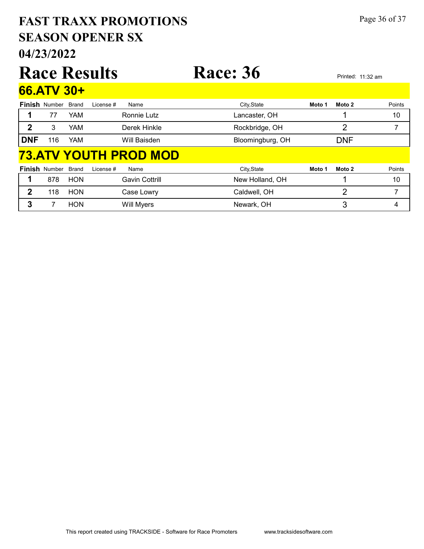# 04/23/2022 SEASON OPENER SX FAST TRAXX PROMOTIONS Page 36 of 37

|              |                      |              | <b>Race Results</b> |                              | <b>Race: 36</b>  |        | Printed: 11:32 am |        |
|--------------|----------------------|--------------|---------------------|------------------------------|------------------|--------|-------------------|--------|
|              | 66.ATV 30+           |              |                     |                              |                  |        |                   |        |
|              | <b>Finish Number</b> | <b>Brand</b> | License #           | Name                         | City, State      | Moto 1 | Moto 2            | Points |
| 1            | 77                   | <b>YAM</b>   |                     | Ronnie Lutz                  | Lancaster, OH    |        |                   | 10     |
| $\mathbf{2}$ | 3                    | <b>YAM</b>   |                     | Derek Hinkle                 | Rockbridge, OH   |        | $\overline{2}$    | 7      |
| <b>DNF</b>   | 116                  | YAM          |                     | Will Baisden                 | Bloomingburg, OH |        | <b>DNF</b>        |        |
|              |                      |              |                     | <u>73.ATV YOUTH PROD MOD</u> |                  |        |                   |        |
|              | <b>Finish Number</b> | Brand        | License #           | Name                         | City, State      | Moto 1 | Moto 2            | Points |
| 1            | 878                  | <b>HON</b>   |                     | <b>Gavin Cottrill</b>        | New Holland, OH  |        | 1                 | 10     |
| $\mathbf{2}$ | 118                  | <b>HON</b>   |                     | Case Lowry                   | Caldwell, OH     |        | $\overline{2}$    | 7      |
| 3            |                      | <b>HON</b>   |                     | Will Myers                   | Newark, OH       |        | 3                 | 4      |